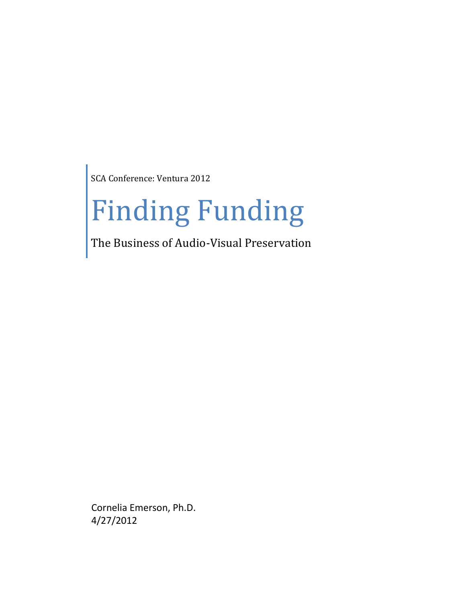SCA Conference: Ventura 2012

# Finding Funding

The Business of Audio-Visual Preservation

Cornelia Emerson, Ph.D. 4/27/2012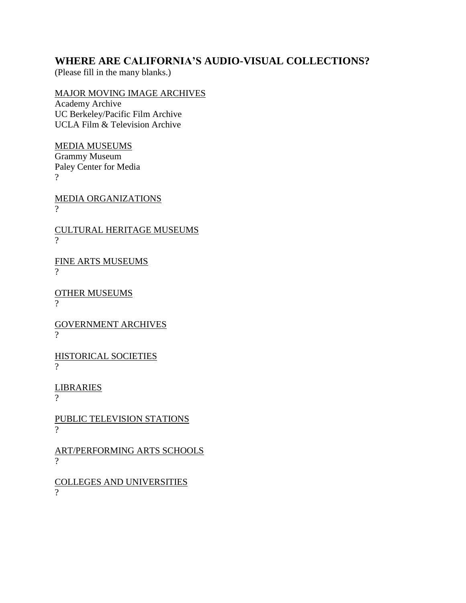## **WHERE ARE CALIFORNIA'S AUDIO-VISUAL COLLECTIONS?**

(Please fill in the many blanks.)

## MAJOR MOVING IMAGE ARCHIVES

Academy Archive UC Berkeley/Pacific Film Archive UCLA Film & Television Archive

MEDIA MUSEUMS Grammy Museum Paley Center for Media ?

MEDIA ORGANIZATIONS ?

CULTURAL HERITAGE MUSEUMS  $\gamma$ 

FINE ARTS MUSEUMS  $\gamma$ 

OTHER MUSEUMS  $\gamma$ 

GOVERNMENT ARCHIVES  $\mathcal{P}$ 

HISTORICAL SOCIETIES  $\gamma$ 

LIBRARIES

?

PUBLIC TELEVISION STATIONS  $\gamma$ 

ART/PERFORMING ARTS SCHOOLS  $\gamma$ 

COLLEGES AND UNIVERSITIES  $\gamma$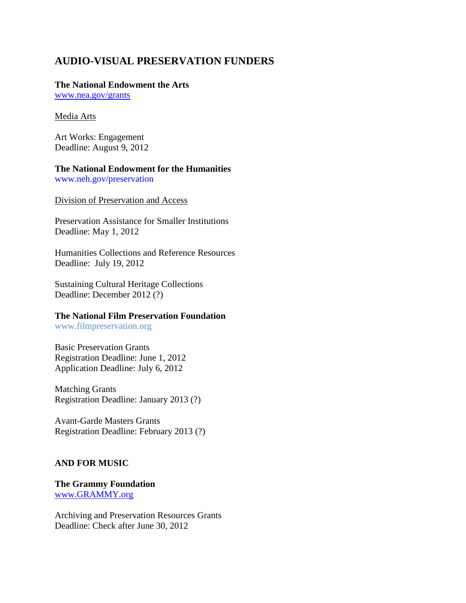# **AUDIO-VISUAL PRESERVATION FUNDERS**

#### **The National Endowment the Arts**

[www.nea.gov/grants](http://www.nea.gov/grants)

#### Media Arts

Art Works: Engagement Deadline: August 9, 2012

# **The National Endowment for the Humanities**

[www.neh.gov/preservation](http://www.neh.gov/preservation)

Division of Preservation and Access

Preservation Assistance for Smaller Institutions Deadline: May 1, 2012

Humanities Collections and Reference Resources Deadline: July 19, 2012

Sustaining Cultural Heritage Collections Deadline: December 2012 (?)

## **The National Film Preservation Foundation**

www.filmpreservation.org

Basic Preservation Grants Registration Deadline: June 1, 2012 Application Deadline: July 6, 2012

Matching Grants Registration Deadline: January 2013 (?)

Avant-Garde Masters Grants Registration Deadline: February 2013 (?)

## **AND FOR MUSIC**

## **The Grammy Foundation** [www.GRAMMY.org](http://www.grammy.org/)

Archiving and Preservation Resources Grants Deadline: Check after June 30, 2012